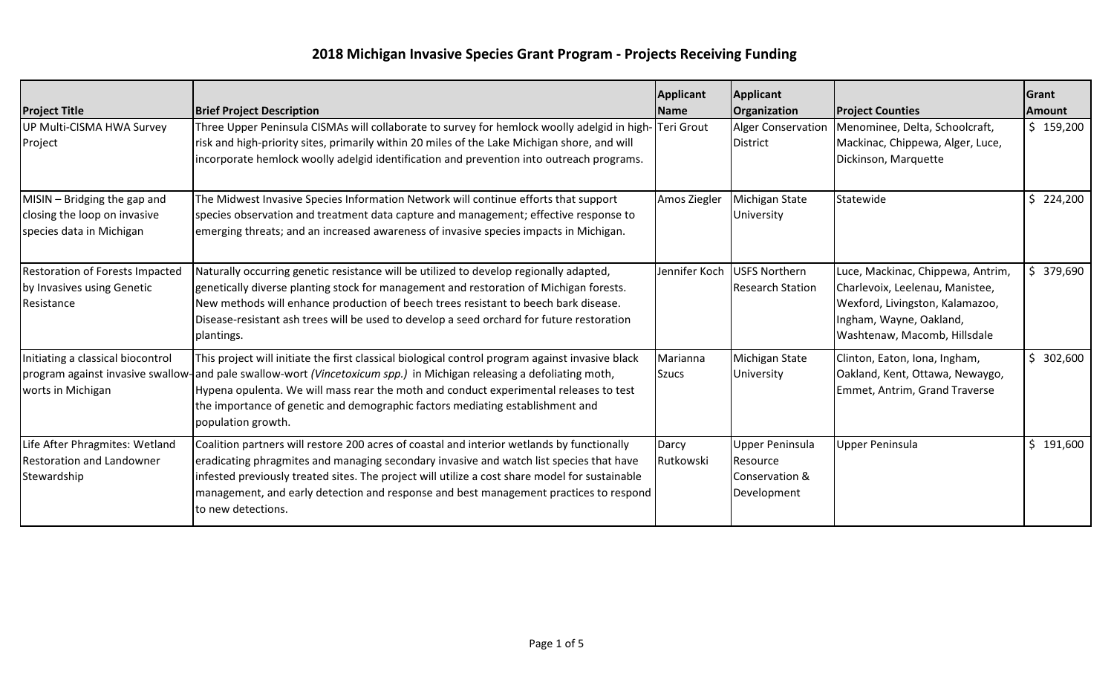## **2018 Michigan Invasive Species Grant Program - Projects Receiving Funding**

| <b>Project Title</b>                                                                     | <b>Brief Project Description</b>                                                                                                                                                                                                                                                                                                                                                                                         | Applicant<br><b>Name</b> | <b>Applicant</b><br>Organization                                    | <b>Project Counties</b>                                                                                                                                            | Grant<br><b>Amount</b> |
|------------------------------------------------------------------------------------------|--------------------------------------------------------------------------------------------------------------------------------------------------------------------------------------------------------------------------------------------------------------------------------------------------------------------------------------------------------------------------------------------------------------------------|--------------------------|---------------------------------------------------------------------|--------------------------------------------------------------------------------------------------------------------------------------------------------------------|------------------------|
| UP Multi-CISMA HWA Survey<br>Project                                                     | Three Upper Peninsula CISMAs will collaborate to survey for hemlock woolly adelgid in high- Teri Grout<br>risk and high-priority sites, primarily within 20 miles of the Lake Michigan shore, and will<br>incorporate hemlock woolly adelgid identification and prevention into outreach programs.                                                                                                                       |                          | <b>Alger Conservation</b><br><b>District</b>                        | Menominee, Delta, Schoolcraft,<br>Mackinac, Chippewa, Alger, Luce,<br>Dickinson, Marquette                                                                         | \$159,200              |
| MISIN - Bridging the gap and<br>closing the loop on invasive<br>species data in Michigan | The Midwest Invasive Species Information Network will continue efforts that support<br>species observation and treatment data capture and management; effective response to<br>emerging threats; and an increased awareness of invasive species impacts in Michigan.                                                                                                                                                     | Amos Ziegler             | Michigan State<br>University                                        | Statewide                                                                                                                                                          | \$224,200              |
| Restoration of Forests Impacted<br>by Invasives using Genetic<br>Resistance              | Naturally occurring genetic resistance will be utilized to develop regionally adapted,<br>genetically diverse planting stock for management and restoration of Michigan forests.<br>New methods will enhance production of beech trees resistant to beech bark disease.<br>Disease-resistant ash trees will be used to develop a seed orchard for future restoration<br>plantings.                                       | Jennifer Koch            | <b>USFS Northern</b><br><b>Research Station</b>                     | Luce, Mackinac, Chippewa, Antrim,<br>Charlevoix, Leelenau, Manistee,<br>Wexford, Livingston, Kalamazoo,<br>Ingham, Wayne, Oakland,<br>Washtenaw, Macomb, Hillsdale | \$379,690              |
| Initiating a classical biocontrol<br>worts in Michigan                                   | This project will initiate the first classical biological control program against invasive black<br>program against invasive swallow-and pale swallow-wort (Vincetoxicum spp.) in Michigan releasing a defoliating moth,<br>Hypena opulenta. We will mass rear the moth and conduct experimental releases to test<br>the importance of genetic and demographic factors mediating establishment and<br>population growth. | Marianna<br><b>Szucs</b> | Michigan State<br>University                                        | Clinton, Eaton, Iona, Ingham,<br>Oakland, Kent, Ottawa, Newaygo,<br>Emmet, Antrim, Grand Traverse                                                                  | \$302,600              |
| Life After Phragmites: Wetland<br><b>Restoration and Landowner</b><br>Stewardship        | Coalition partners will restore 200 acres of coastal and interior wetlands by functionally<br>eradicating phragmites and managing secondary invasive and watch list species that have<br>infested previously treated sites. The project will utilize a cost share model for sustainable<br>management, and early detection and response and best management practices to respond<br>to new detections.                   | Darcy<br>Rutkowski       | <b>Upper Peninsula</b><br>Resource<br>Conservation &<br>Development | <b>Upper Peninsula</b>                                                                                                                                             | \$191,600              |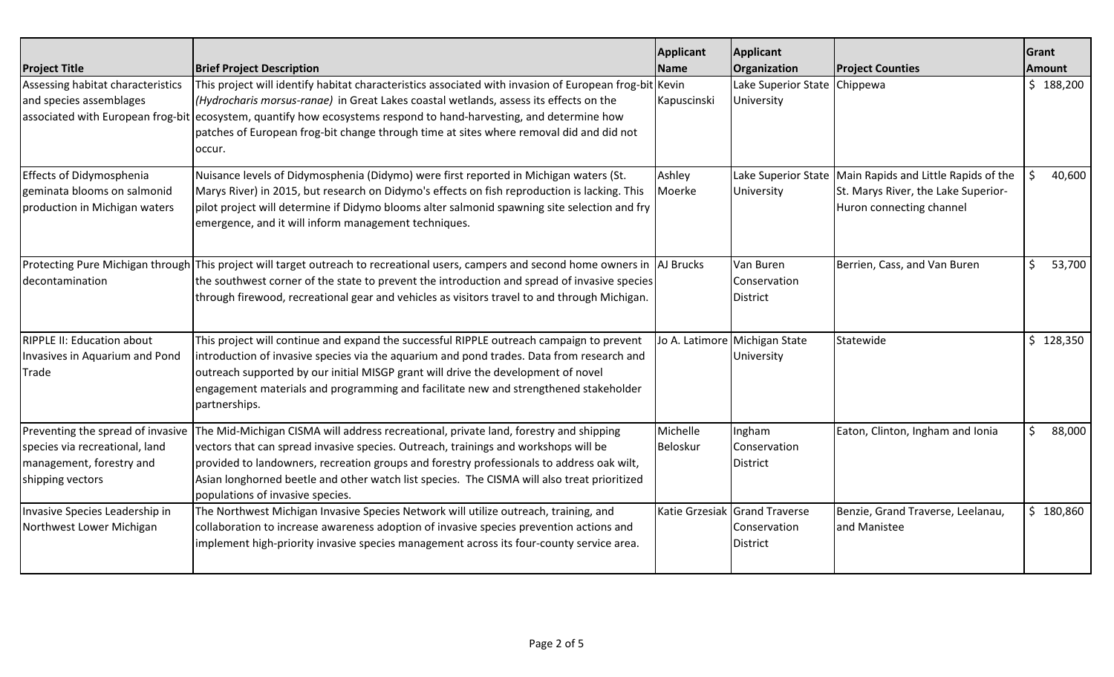| <b>Project Title</b>                                                                            | <b>Brief Project Description</b>                                                                                                                                                                                                                                                                                                                                                                                                               | <b>Applicant</b><br><b>Name</b> | Applicant<br>Organization                                        | <b>Project Counties</b>                                                                                                       | Grant<br><b>Amount</b> |
|-------------------------------------------------------------------------------------------------|------------------------------------------------------------------------------------------------------------------------------------------------------------------------------------------------------------------------------------------------------------------------------------------------------------------------------------------------------------------------------------------------------------------------------------------------|---------------------------------|------------------------------------------------------------------|-------------------------------------------------------------------------------------------------------------------------------|------------------------|
| Assessing habitat characteristics<br>and species assemblages                                    | This project will identify habitat characteristics associated with invasion of European frog-bit<br>(Hydrocharis morsus-ranae) in Great Lakes coastal wetlands, assess its effects on the<br>associated with European frog-bit ecosystem, quantify how ecosystems respond to hand-harvesting, and determine how<br>patches of European frog-bit change through time at sites where removal did and did not<br>occur.                           | Kevin<br>Kapuscinski            | Lake Superior State Chippewa<br>University                       |                                                                                                                               | \$188,200              |
| <b>Effects of Didymosphenia</b><br>geminata blooms on salmonid<br>production in Michigan waters | Nuisance levels of Didymosphenia (Didymo) were first reported in Michigan waters (St.<br>Marys River) in 2015, but research on Didymo's effects on fish reproduction is lacking. This<br>pilot project will determine if Didymo blooms alter salmonid spawning site selection and fry<br>emergence, and it will inform management techniques.                                                                                                  | Ashley<br>Moerke                | University                                                       | Lake Superior State   Main Rapids and Little Rapids of the<br>St. Marys River, the Lake Superior-<br>Huron connecting channel | 40,600                 |
| decontamination                                                                                 | Protecting Pure Michigan through This project will target outreach to recreational users, campers and second home owners in  AJ Brucks<br>the southwest corner of the state to prevent the introduction and spread of invasive species<br>through firewood, recreational gear and vehicles as visitors travel to and through Michigan.                                                                                                         |                                 | Van Buren<br>Conservation<br><b>District</b>                     | Berrien, Cass, and Van Buren                                                                                                  | \$<br>53,700           |
| <b>RIPPLE II: Education about</b><br>Invasives in Aquarium and Pond<br>Trade                    | This project will continue and expand the successful RIPPLE outreach campaign to prevent<br>introduction of invasive species via the aquarium and pond trades. Data from research and<br>outreach supported by our initial MISGP grant will drive the development of novel<br>engagement materials and programming and facilitate new and strengthened stakeholder<br>partnerships.                                                            |                                 | Jo A. Latimore Michigan State<br>University                      | Statewide                                                                                                                     | 128,350<br>\$.         |
| species via recreational, land<br>management, forestry and<br>shipping vectors                  | Preventing the spread of invasive The Mid-Michigan CISMA will address recreational, private land, forestry and shipping<br>vectors that can spread invasive species. Outreach, trainings and workshops will be<br>provided to landowners, recreation groups and forestry professionals to address oak wilt,<br>Asian longhorned beetle and other watch list species. The CISMA will also treat prioritized<br>populations of invasive species. | Michelle<br>Beloskur            | Ingham<br>Conservation<br><b>District</b>                        | Eaton, Clinton, Ingham and Ionia                                                                                              | Ś.<br>88,000           |
| Invasive Species Leadership in<br>Northwest Lower Michigan                                      | The Northwest Michigan Invasive Species Network will utilize outreach, training, and<br>collaboration to increase awareness adoption of invasive species prevention actions and<br>implement high-priority invasive species management across its four-county service area.                                                                                                                                                                    |                                 | Katie Grzesiak Grand Traverse<br>Conservation<br><b>District</b> | Benzie, Grand Traverse, Leelanau,<br>and Manistee                                                                             | \$180,860              |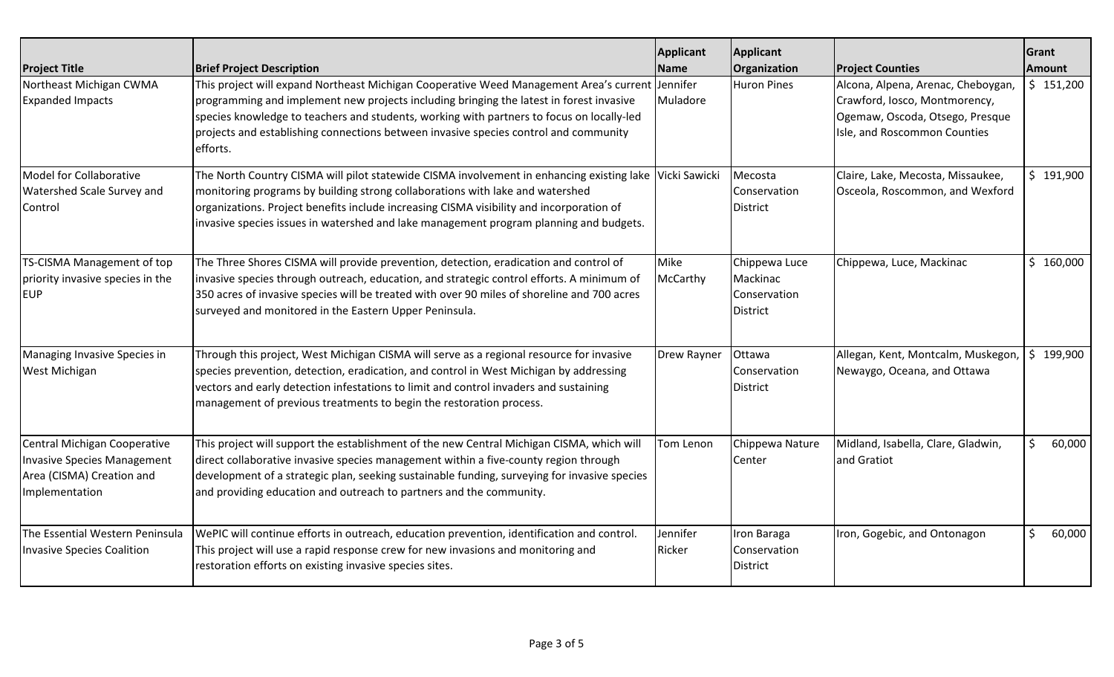| <b>Project Title</b>                                                                                              | <b>Brief Project Description</b>                                                                                                                                                                                                                                                                                                                                                            | <b>Applicant</b><br><b>Name</b> | Applicant<br>Organization                                    | <b>Project Counties</b>                                                                                                                | Grant<br><b>Amount</b> |        |
|-------------------------------------------------------------------------------------------------------------------|---------------------------------------------------------------------------------------------------------------------------------------------------------------------------------------------------------------------------------------------------------------------------------------------------------------------------------------------------------------------------------------------|---------------------------------|--------------------------------------------------------------|----------------------------------------------------------------------------------------------------------------------------------------|------------------------|--------|
| Northeast Michigan CWMA<br><b>Expanded Impacts</b>                                                                | This project will expand Northeast Michigan Cooperative Weed Management Area's current Jennifer<br>programming and implement new projects including bringing the latest in forest invasive<br>species knowledge to teachers and students, working with partners to focus on locally-led<br>projects and establishing connections between invasive species control and community<br>efforts. | Muladore                        | <b>Huron Pines</b>                                           | Alcona, Alpena, Arenac, Cheboygan,<br>Crawford, Iosco, Montmorency,<br>Ogemaw, Oscoda, Otsego, Presque<br>Isle, and Roscommon Counties | \$151,200              |        |
| <b>Model for Collaborative</b><br>Watershed Scale Survey and<br>Control                                           | The North Country CISMA will pilot statewide CISMA involvement in enhancing existing lake Vicki Sawicki<br>monitoring programs by building strong collaborations with lake and watershed<br>organizations. Project benefits include increasing CISMA visibility and incorporation of<br>invasive species issues in watershed and lake management program planning and budgets.              |                                 | Mecosta<br>Conservation<br>District                          | Claire, Lake, Mecosta, Missaukee,<br>Osceola, Roscommon, and Wexford                                                                   | \$191,900              |        |
| TS-CISMA Management of top<br>priority invasive species in the<br><b>EUP</b>                                      | The Three Shores CISMA will provide prevention, detection, eradication and control of<br>invasive species through outreach, education, and strategic control efforts. A minimum of<br>350 acres of invasive species will be treated with over 90 miles of shoreline and 700 acres<br>surveyed and monitored in the Eastern Upper Peninsula.                                                 | Mike<br>McCarthy                | Chippewa Luce<br>Mackinac<br>Conservation<br><b>District</b> | Chippewa, Luce, Mackinac                                                                                                               | \$160,000              |        |
| Managing Invasive Species in<br>West Michigan                                                                     | Through this project, West Michigan CISMA will serve as a regional resource for invasive<br>species prevention, detection, eradication, and control in West Michigan by addressing<br>vectors and early detection infestations to limit and control invaders and sustaining<br>management of previous treatments to begin the restoration process.                                          | Drew Rayner                     | Ottawa<br><b>Conservation</b><br><b>District</b>             | Allegan, Kent, Montcalm, Muskegon,<br>Newaygo, Oceana, and Ottawa                                                                      | \$199,900              |        |
| Central Michigan Cooperative<br><b>Invasive Species Management</b><br>Area (CISMA) Creation and<br>Implementation | This project will support the establishment of the new Central Michigan CISMA, which will<br>direct collaborative invasive species management within a five-county region through<br>development of a strategic plan, seeking sustainable funding, surveying for invasive species<br>and providing education and outreach to partners and the community.                                    | Tom Lenon                       | Chippewa Nature<br>Center                                    | Midland, Isabella, Clare, Gladwin,<br>and Gratiot                                                                                      | S                      | 60,000 |
| The Essential Western Peninsula<br><b>Invasive Species Coalition</b>                                              | WePIC will continue efforts in outreach, education prevention, identification and control.<br>This project will use a rapid response crew for new invasions and monitoring and<br>restoration efforts on existing invasive species sites.                                                                                                                                                   | Jennifer<br>Ricker              | Iron Baraga<br>Conservation<br><b>District</b>               | Iron, Gogebic, and Ontonagon                                                                                                           | Ś                      | 60,000 |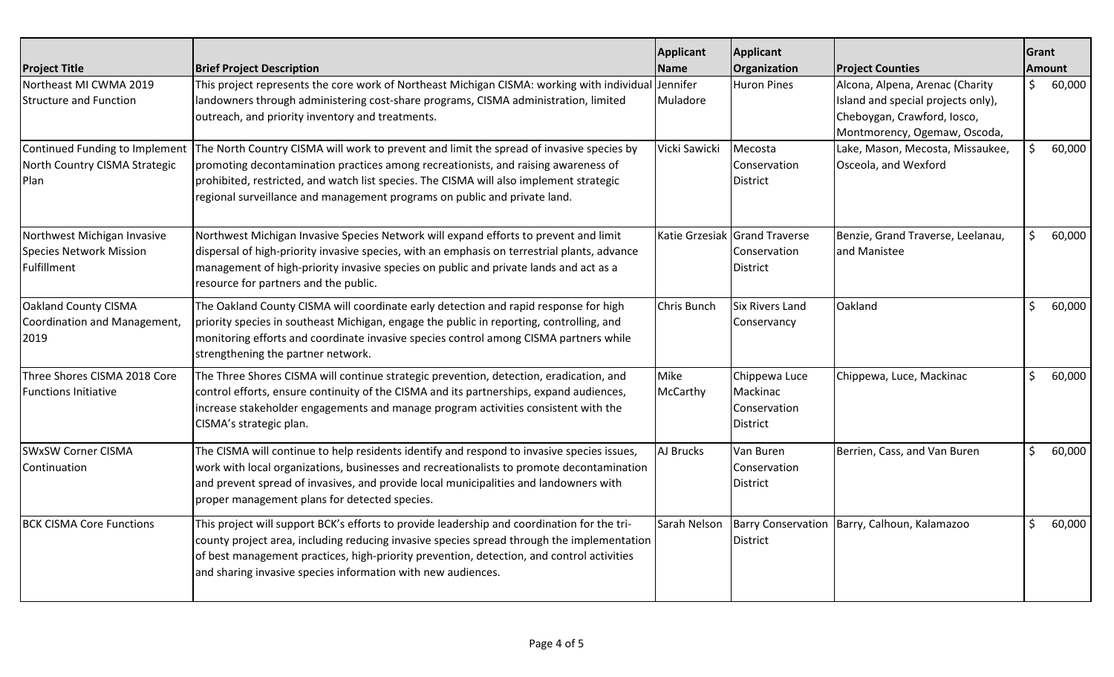| <b>Project Title</b>                                                         | <b>Brief Project Description</b>                                                                                                                                                                                                                                                                                                                                                      | <b>Applicant</b><br><b>Name</b> | Applicant<br>Organization                                        | <b>Project Counties</b>                                                                                                              | Grant | <b>Amount</b> |
|------------------------------------------------------------------------------|---------------------------------------------------------------------------------------------------------------------------------------------------------------------------------------------------------------------------------------------------------------------------------------------------------------------------------------------------------------------------------------|---------------------------------|------------------------------------------------------------------|--------------------------------------------------------------------------------------------------------------------------------------|-------|---------------|
| Northeast MI CWMA 2019<br><b>Structure and Function</b>                      | This project represents the core work of Northeast Michigan CISMA: working with individual<br>landowners through administering cost-share programs, CISMA administration, limited<br>outreach, and priority inventory and treatments.                                                                                                                                                 | Jennifer<br>Muladore            | <b>Huron Pines</b>                                               | Alcona, Alpena, Arenac (Charity<br>Island and special projects only),<br>Cheboygan, Crawford, Iosco,<br>Montmorency, Ogemaw, Oscoda, | Ś     | 60,000        |
| North Country CISMA Strategic<br>Plan                                        | Continued Funding to Implement The North Country CISMA will work to prevent and limit the spread of invasive species by<br>promoting decontamination practices among recreationists, and raising awareness of<br>prohibited, restricted, and watch list species. The CISMA will also implement strategic<br>regional surveillance and management programs on public and private land. | Vicki Sawicki                   | Mecosta<br>Conservation<br><b>District</b>                       | Lake, Mason, Mecosta, Missaukee,<br>Osceola, and Wexford                                                                             | Ŝ.    | 60,000        |
| Northwest Michigan Invasive<br><b>Species Network Mission</b><br>Fulfillment | Northwest Michigan Invasive Species Network will expand efforts to prevent and limit<br>dispersal of high-priority invasive species, with an emphasis on terrestrial plants, advance<br>management of high-priority invasive species on public and private lands and act as a<br>resource for partners and the public.                                                                |                                 | Katie Grzesiak Grand Traverse<br>Conservation<br><b>District</b> | Benzie, Grand Traverse, Leelanau,<br>and Manistee                                                                                    | S.    | 60,000        |
| <b>Oakland County CISMA</b><br>Coordination and Management,<br>2019          | The Oakland County CISMA will coordinate early detection and rapid response for high<br>priority species in southeast Michigan, engage the public in reporting, controlling, and<br>monitoring efforts and coordinate invasive species control among CISMA partners while<br>strengthening the partner network.                                                                       | Chris Bunch                     | <b>Six Rivers Land</b><br>Conservancy                            | Oakland                                                                                                                              | \$    | 60,000        |
| Three Shores CISMA 2018 Core<br><b>Functions Initiative</b>                  | The Three Shores CISMA will continue strategic prevention, detection, eradication, and<br>control efforts, ensure continuity of the CISMA and its partnerships, expand audiences,<br>increase stakeholder engagements and manage program activities consistent with the<br>CISMA's strategic plan.                                                                                    | Mike<br>McCarthy                | Chippewa Luce<br>Mackinac<br>Conservation<br><b>District</b>     | Chippewa, Luce, Mackinac                                                                                                             | \$    | 60,000        |
| <b>SWxSW Corner CISMA</b><br>Continuation                                    | The CISMA will continue to help residents identify and respond to invasive species issues,<br>work with local organizations, businesses and recreationalists to promote decontamination<br>and prevent spread of invasives, and provide local municipalities and landowners with<br>proper management plans for detected species.                                                     | AJ Brucks                       | Van Buren<br>Conservation<br>District                            | Berrien, Cass, and Van Buren                                                                                                         | \$    | 60,000        |
| <b>BCK CISMA Core Functions</b>                                              | This project will support BCK's efforts to provide leadership and coordination for the tri-<br>county project area, including reducing invasive species spread through the implementation<br>of best management practices, high-priority prevention, detection, and control activities<br>and sharing invasive species information with new audiences.                                | Sarah Nelson                    | <b>District</b>                                                  | Barry Conservation   Barry, Calhoun, Kalamazoo                                                                                       | \$    | 60,000        |